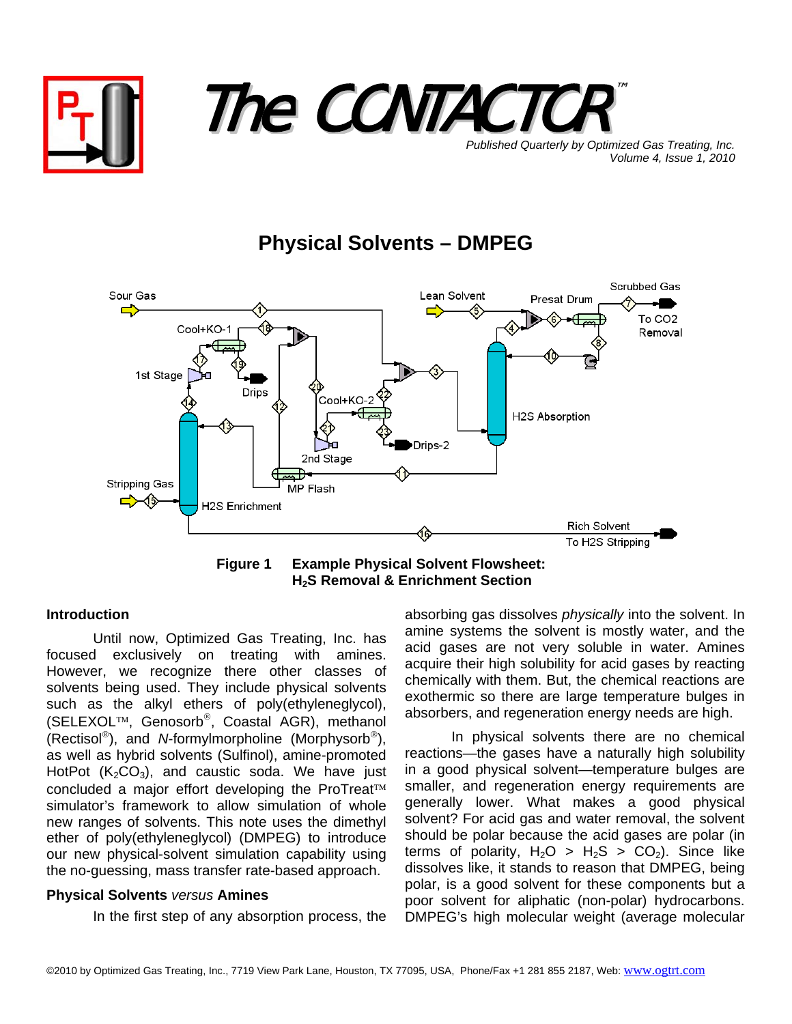



**Published Quarterly by Optimized Gas Treating, Inc.** *Volume 4, Issue 1, 2010*

## **Physical Solvents – DMPEG**



**Figure 1 Example Physical Solvent Flowsheet: H2S Removal & Enrichment Section** 

## **Introduction**

Until now, Optimized Gas Treating, Inc. has focused exclusively on treating with amines. However, we recognize there other classes of solvents being used. They include physical solvents such as the alkyl ethers of poly(ethyleneglycol), (SELEXOL™, Genosorb®, Coastal AGR), methanol (Rectisol®), and *N*-formylmorpholine (Morphysorb®), as well as hybrid solvents (Sulfinol), amine-promoted HotPot  $(K_2CO_3)$ , and caustic soda. We have just concluded a major effort developing the ProTreat™ simulator's framework to allow simulation of whole new ranges of solvents. This note uses the dimethyl ether of poly(ethyleneglycol) (DMPEG) to introduce our new physical-solvent simulation capability using the no-guessing, mass transfer rate-based approach.

## **Physical Solvents** *versus* **Amines**

In the first step of any absorption process, the

absorbing gas dissolves *physically* into the solvent. In amine systems the solvent is mostly water, and the acid gases are not very soluble in water. Amines acquire their high solubility for acid gases by reacting chemically with them. But, the chemical reactions are exothermic so there are large temperature bulges in absorbers, and regeneration energy needs are high.

In physical solvents there are no chemical reactions—the gases have a naturally high solubility in a good physical solvent—temperature bulges are smaller, and regeneration energy requirements are generally lower. What makes a good physical solvent? For acid gas and water removal, the solvent should be polar because the acid gases are polar (in terms of polarity,  $H_2O > H_2S > CO_2$ ). Since like dissolves like, it stands to reason that DMPEG, being polar, is a good solvent for these components but a poor solvent for aliphatic (non-polar) hydrocarbons. DMPEG's high molecular weight (average molecular